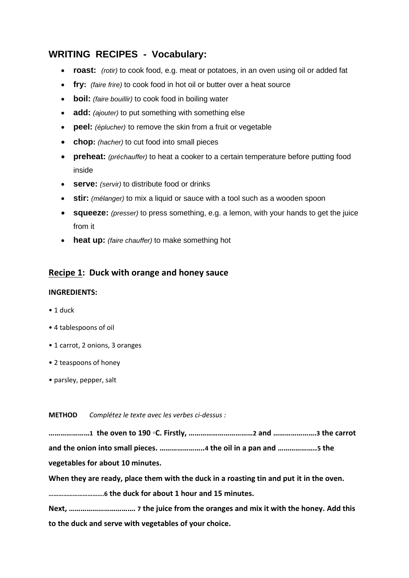# **WRITING RECIPES - Vocabulary:**

- **roast:** *(rotir)* to cook food, e.g. meat or potatoes, in an oven using oil or added fat
- **fry:** *(faire frire)* to cook food in hot oil or butter over a heat source
- **boil:** *(faire bouillir)* to cook food in boiling water
- **add:** *(ajouter)* to put something with something else
- **peel:** *(éplucher)* to remove the skin from a fruit or vegetable
- **chop:** *(hacher)* to cut food into small pieces
- **preheat:** *(préchauffer)* to heat a cooker to a certain temperature before putting food inside
- **serve:** *(servir)* to distribute food or drinks
- **stir:** *(mélanger)* to mix a liquid or sauce with a tool such as a wooden spoon
- **squeeze:** *(presser)* to press something, e.g. a lemon, with your hands to get the juice from it
- **heat up:** *(faire chauffer)* to make something hot

## **Recipe 1: Duck with orange and honey sauce**

### **INGREDIENTS:**

- 1 duck
- 4 tablespoons of oil
- 1 carrot, 2 onions, 3 oranges
- 2 teaspoons of honey
- parsley, pepper, salt

**METHOD** *Complétez le texte avec les verbes ci-dessus :*

**…………………1 the oven to 190 ◦C. Firstly, ……………………………2 and ………………….3 the carrot and the onion into small pieces. …………………..4 the oil in a pan and ………………..5 the vegetables for about 10 minutes.** 

**When they are ready, place them with the duck in a roasting tin and put it in the oven.**

**…………………………….6 the duck for about 1 hour and 15 minutes.** 

**Next, ……………………………. 7 the juice from the oranges and mix it with the honey. Add this to the duck and serve with vegetables of your choice.**